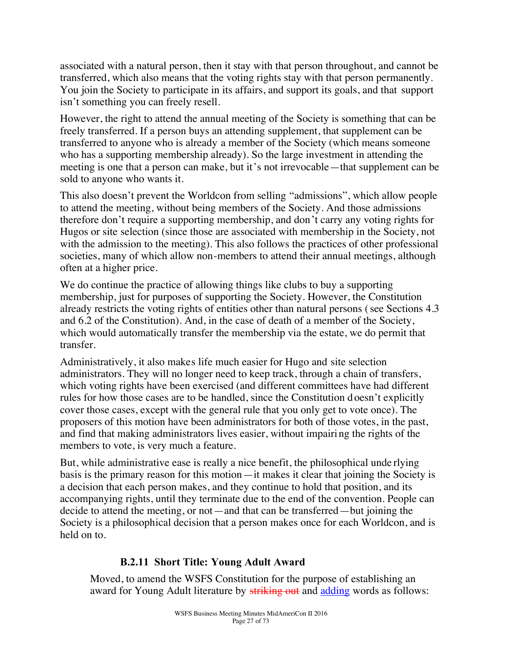associated with a natural person, then it stay with that person throughout, and cannot be transferred, which also means that the voting rights stay with that person permanently. You join the Society to participate in its affairs, and support its goals, and that support isn't something you can freely resell.

However, the right to attend the annual meeting of the Society is something that can be freely transferred. If a person buys an attending supplement, that supplement can be transferred to anyone who is already a member of the Society (which means someone who has a supporting membership already). So the large investment in attending the meeting is one that a person can make, but it's not irrevocable—that supplement can be sold to anyone who wants it.

This also doesn't prevent the Worldcon from selling "admissions", which allow people to attend the meeting, without being members of the Society. And those admissions therefore don't require a supporting membership, and don't carry any voting rights for Hugos or site selection (since those are associated with membership in the Society, not with the admission to the meeting). This also follows the practices of other professional societies, many of which allow non-members to attend their annual meetings, although often at a higher price.

We do continue the practice of allowing things like clubs to buy a supporting membership, just for purposes of supporting the Society. However, the Constitution already restricts the voting rights of entities other than natural persons (see Sections 4.3 and 6.2 of the Constitution). And, in the case of death of a member of the Society, which would automatically transfer the membership via the estate, we do permit that transfer.

Administratively, it also makes life much easier for Hugo and site selection administrators. They will no longer need to keep track, through a chain of transfers, which voting rights have been exercised (and different committees have had different rules for how those cases are to be handled, since the Constitution d oesn't explicitly cover those cases, except with the general rule that you only get to vote once). The proposers of this motion have been administrators for both of those votes, in the past, and find that making administrators lives easier, without impairing the rights of the members to vote, is very much a feature.

But, while administrative ease is really a nice benefit, the philosophical unde rlying basis is the primary reason for this motion—it makes it clear that joining the Society is a decision that each person makes, and they continue to hold that position, and its accompanying rights, until they terminate due to the end of the convention. People can decide to attend the meeting, or not—and that can be transferred—but joining the Society is a philosophical decision that a person makes once for each Worldcon, and is held on to.

# **B.2.11 Short Title: Young Adult Award**

Moved, to amend the WSFS Constitution for the purpose of establishing an award for Young Adult literature by striking out and adding words as follows: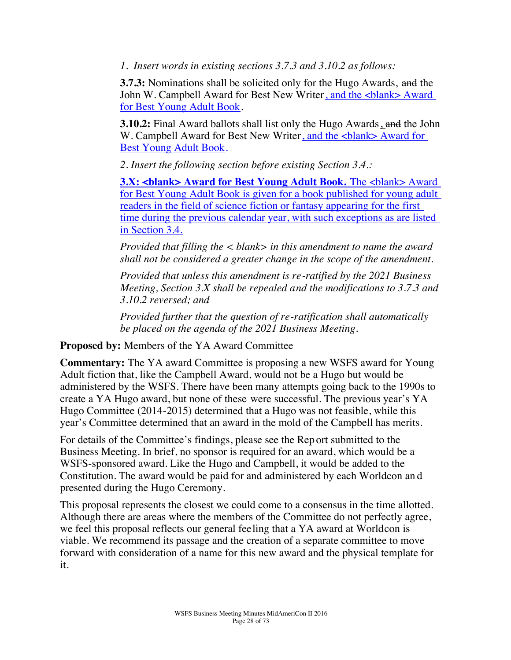*1. Insert words in existing sections 3.7.3 and 3.10.2 as follows:*

**3.7.3:** Nominations shall be solicited only for the Hugo Awards, and the John W. Campbell Award for Best New Writer, and the <blank> Award for Best Young Adult Book.

**3.10.2:** Final Award ballots shall list only the Hugo Awards, and the John W. Campbell Award for Best New Writer, and the <br/> <br/> Award for Best Young Adult Book.

*2. Insert the following section before existing Section 3.4.:*

**3.X: <br/>Shank> Award for Best Young Adult Book.** The <br/>shank> Award for Best Young Adult Book is given for a book published for young adult readers in the field of science fiction or fantasy appearing for the first time during the previous calendar year, with such exceptions as are listed in Section 3.4.

*Provided that filling the < blank> in this amendment to name the award shall not be considered a greater change in the scope of the amendment.*

*Provided that unless this amendment is re-ratified by the 2021 Business Meeting, Section 3.X shall be repealed and the modifications to 3.7.3 and 3.10.2 reversed; and*

*Provided further that the question of re-ratification shall automatically be placed on the agenda of the 2021 Business Meeting.*

**Proposed by:** Members of the YA Award Committee

**Commentary:** The YA award Committee is proposing a new WSFS award for Young Adult fiction that, like the Campbell Award, would not be a Hugo but would be administered by the WSFS. There have been many attempts going back to the 1990s to create a YA Hugo award, but none of these were successful. The previous year's YA Hugo Committee (2014-2015) determined that a Hugo was not feasible, while this year's Committee determined that an award in the mold of the Campbell has merits.

For details of the Committee's findings, please see the Rep ort submitted to the Business Meeting. In brief, no sponsor is required for an award, which would be a WSFS-sponsored award. Like the Hugo and Campbell, it would be added to the Constitution. The award would be paid for and administered by each Worldcon an d presented during the Hugo Ceremony.

This proposal represents the closest we could come to a consensus in the time allotted. Although there are areas where the members of the Committee do not perfectly agree, we feel this proposal reflects our general feeling that a YA award at Worldcon is viable. We recommend its passage and the creation of a separate committee to move forward with consideration of a name for this new award and the physical template for it.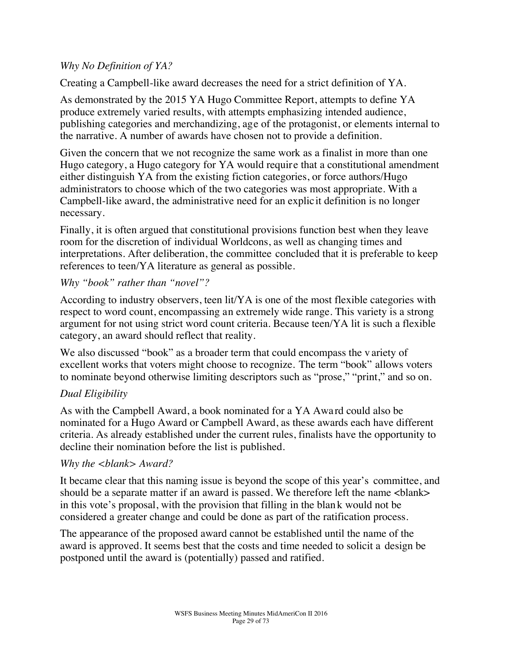#### *Why No Definition of YA?*

Creating a Campbell-like award decreases the need for a strict definition of YA.

As demonstrated by the 2015 YA Hugo Committee Report, attempts to define YA produce extremely varied results, with attempts emphasizing intended audience, publishing categories and merchandizing, age of the protagonist, or elements internal to the narrative. A number of awards have chosen not to provide a definition.

Given the concern that we not recognize the same work as a finalist in more than one Hugo category, a Hugo category for YA would require that a constitutional amendment either distinguish YA from the existing fiction categories, or force authors/Hugo administrators to choose which of the two categories was most appropriate. With a Campbell-like award, the administrative need for an explicit definition is no longer necessary.

Finally, it is often argued that constitutional provisions function best when they leave room for the discretion of individual Worldcons, as well as changing times and interpretations. After deliberation, the committee concluded that it is preferable to keep references to teen/YA literature as general as possible.

#### *Why "book" rather than "novel"?*

According to industry observers, teen lit/YA is one of the most flexible categories with respect to word count, encompassing an extremely wide range. This variety is a strong argument for not using strict word count criteria. Because teen/YA lit is such a flexible category, an award should reflect that reality.

We also discussed "book" as a broader term that could encompass the v ariety of excellent works that voters might choose to recognize. The term "book" allows voters to nominate beyond otherwise limiting descriptors such as "prose," "print," and so on.

#### *Dual Eligibility*

As with the Campbell Award, a book nominated for a YA Awa rd could also be nominated for a Hugo Award or Campbell Award, as these awards each have different criteria. As already established under the current rules, finalists have the opportunity to decline their nomination before the list is published.

#### *Why the <blank> Award?*

It became clear that this naming issue is beyond the scope of this year's committee, and should be a separate matter if an award is passed. We therefore left the name  $\langle$ blank $\rangle$ in this vote's proposal, with the provision that filling in the blan k would not be considered a greater change and could be done as part of the ratification process.

The appearance of the proposed award cannot be established until the name of the award is approved. It seems best that the costs and time needed to solicit a design be postponed until the award is (potentially) passed and ratified.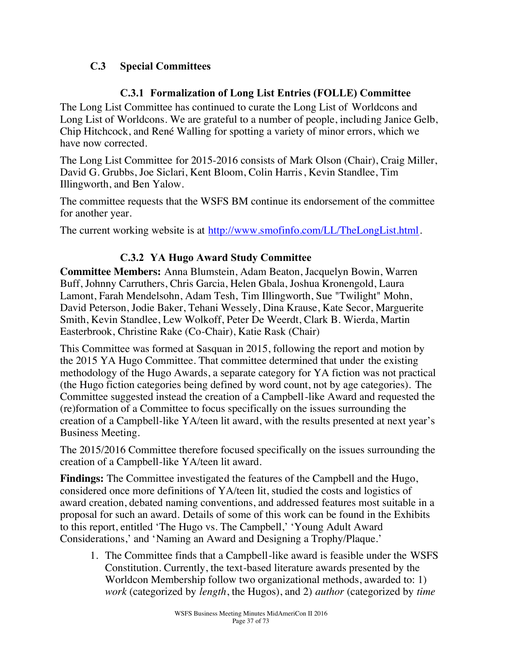# C.3 Special Committees

# C.3.1 Formalization of Long List Entries (FOLLE) Committee

The Long List Committee has continued to curate the Long List of Worldcons and Long List of Worldcons. We are grateful to a number of people, including Janice Gelb, Chip Hitchcock, and René Walling for spotting a variety of minor errors, which we have now corrected.

The Long List Committee for 2015-2016 consists of Mark Olson (Chair), Craig Miller, David G. Grubbs, Joe Siclari, Kent Bloom, Colin Harris, Kevin Standlee, Tim Illingworth, and Ben Yalow.

The committee requests that the WSFS BM continue its endorsement of the committee for another year.

The current working website is at http://www.smofinfo.com/LL/TheLongList.html.

# C.3.2 YA Hugo Award Study Committee

**Committee Members:** Anna Blumstein, Adam Beaton, Jacquelyn Bowin, Warren Buff, Johnny Carruthers, Chris Garcia, Helen Gbala, Joshua Kronengold, Laura Lamont, Farah Mendelsohn, Adam Tesh, Tim Illingworth, Sue "Twilight" Mohn, David Peterson, Jodie Baker, Tehani Wessely, Dina Krause, Kate Secor, Marguerite Smith, Kevin Standlee, Lew Wolkoff, Peter De Weerdt, Clark B. Wierda, Martin Easterbrook, Christine Rake (Co-Chair), Katie Rask (Chair)

This Committee was formed at Sasquan in 2015, following the report and motion by the 2015 YA Hugo Committee. That committee determined that under the existing methodology of the Hugo Awards, a separate category for YA fiction was not practical (the Hugo fiction categories being defined by word count, not by age categories). The Committee suggested instead the creation of a Campbell-like Award and requested the (re)formation of a Committee to focus specifically on the issues surrounding the creation of a Campbell-like YA/teen lit award, with the results presented at next year's Business Meeting.

The 2015/2016 Committee therefore focused specifically on the issues surrounding the creation of a Campbell-like YA/teen lit award.

**Findings:** The Committee investigated the features of the Campbell and the Hugo, considered once more definitions of YA/teen lit, studied the costs and logistics of award creation, debated naming conventions, and addressed features most suitable in a proposal for such an award. Details of some of this work can be found in the Exhibits to this report, entitled 'The Hugo vs. The Campbell,' 'Young Adult Award Considerations,' and 'Naming an Award and Designing a Trophy/Plaque.'

1. The Committee finds that a Campbell-like award is feasible under the WSFS Constitution. Currently, the text-based literature awards presented by the Worldcon Membership follow two organizational methods, awarded to: 1) *work* (categorized by *length*, the Hugos), and 2) *author* (categorized by *time*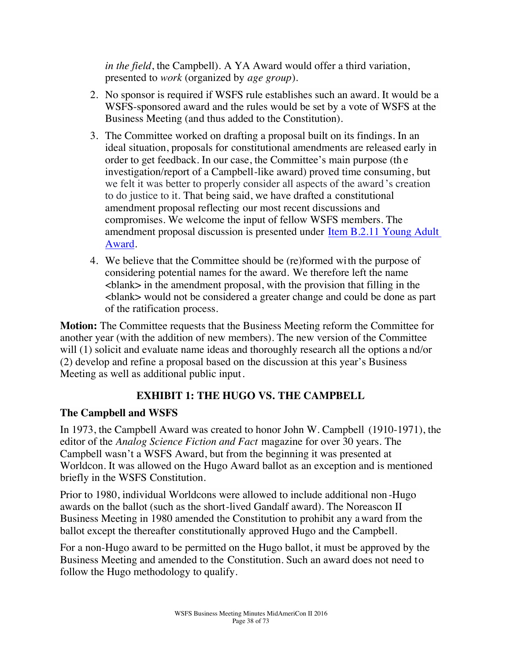*in the field*, the Campbell). A YA Award would offer a third variation, presented to *work* (organized by *age group*).

- 2. No sponsor is required if WSFS rule establishes such an award. It would be a WSFS-sponsored award and the rules would be set by a vote of WSFS at the Business Meeting (and thus added to the Constitution).
- 3. The Committee worked on drafting a proposal built on its findings. In an ideal situation, proposals for constitutional amendments are released early in order to get feedback. In our case, the Committee's main purpose (th e investigation/report of a Campbell-like award) proved time consuming, but we felt it was better to properly consider all aspects of the award's creation to do justice to it. That being said, we have drafted a constitutional amendment proposal reflecting our most recent discussions and compromises. We welcome the input of fellow WSFS members. The amendment proposal discussion is presented under Item B.2.11 Young Adult Award.
- 4. We believe that the Committee should be (re)formed with the purpose of considering potential names for the award. We therefore left the name <blank> in the amendment proposal, with the provision that filling in the <blank> would not be considered a greater change and could be done as part of the ratification process.

**Motion:** The Committee requests that the Business Meeting reform the Committee for another year (with the addition of new members). The new version of the Committee will (1) solicit and evaluate name ideas and thoroughly research all the options a nd/or (2) develop and refine a proposal based on the discussion at this year's Business Meeting as well as additional public input.

# **EXHIBIT 1: THE HUGO VS. THE CAMPBELL**

# **The Campbell and WSFS**

In 1973, the Campbell Award was created to honor John W. Campbell (1910-1971), the editor of the *Analog Science Fiction and Fact* magazine for over 30 years. The Campbell wasn't a WSFS Award, but from the beginning it was presented at Worldcon. It was allowed on the Hugo Award ballot as an exception and is mentioned briefly in the WSFS Constitution.

Prior to 1980, individual Worldcons were allowed to include additional non -Hugo awards on the ballot (such as the short-lived Gandalf award). The Noreascon II Business Meeting in 1980 amended the Constitution to prohibit any award from the ballot except the thereafter constitutionally approved Hugo and the Campbell.

For a non-Hugo award to be permitted on the Hugo ballot, it must be approved by the Business Meeting and amended to the Constitution. Such an award does not need to follow the Hugo methodology to qualify.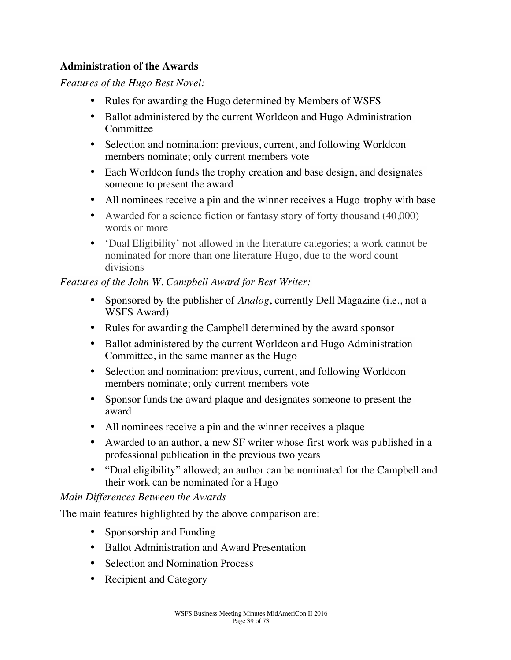#### **Administration of the Awards**

*Features of the Hugo Best Novel:*

- Rules for awarding the Hugo determined by Members of WSFS
- Ballot administered by the current Worldcon and Hugo Administration **Committee**
- Selection and nomination: previous, current, and following Worldcon members nominate; only current members vote
- Each Worldcon funds the trophy creation and base design, and designates someone to present the award
- All nominees receive a pin and the winner receives a Hugo trophy with base
- Awarded for a science fiction or fantasy story of forty thousand (40,000) words or more
- 'Dual Eligibility' not allowed in the literature categories; a work cannot be nominated for more than one literature Hugo, due to the word count divisions

#### *Features of the John W. Campbell Award for Best Writer:*

- Sponsored by the publisher of *Analog*, currently Dell Magazine (i.e., not a WSFS Award)
- Rules for awarding the Campbell determined by the award sponsor
- Ballot administered by the current Worldcon and Hugo Administration Committee, in the same manner as the Hugo
- Selection and nomination: previous, current, and following Worldcon members nominate; only current members vote
- Sponsor funds the award plaque and designates someone to present the award
- All nominees receive a pin and the winner receives a plaque
- Awarded to an author, a new SF writer whose first work was published in a professional publication in the previous two years
- "Dual eligibility" allowed; an author can be nominated for the Campbell and their work can be nominated for a Hugo

# *Main Differences Between the Awards*

The main features highlighted by the above comparison are:

- Sponsorship and Funding
- Ballot Administration and Award Presentation
- Selection and Nomination Process
- Recipient and Category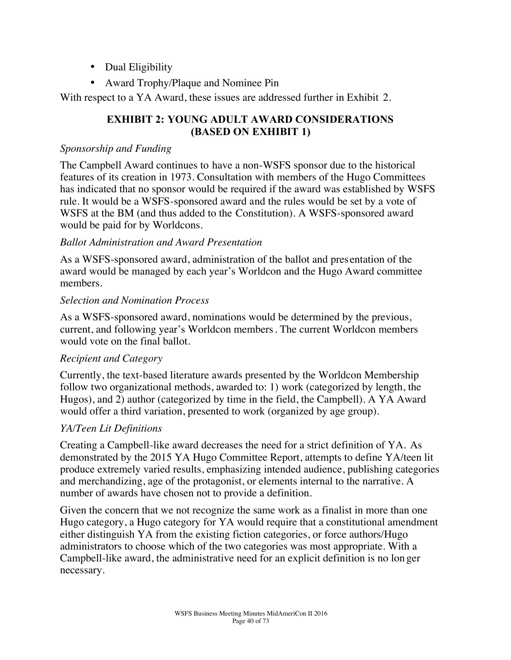- Dual Eligibility
- Award Trophy/Plaque and Nominee Pin

With respect to a YA Award, these issues are addressed further in Exhibit 2.

# **EXHIBIT 2: YOUNG ADULT AWARD CONSIDERATIONS** (BASED ON EXHIBIT 1)

#### *Sponsorship and Funding*

The Campbell Award continues to have a non-WSFS sponsor due to the historical features of its creation in 1973. Consultation with members of the Hugo Committees has indicated that no sponsor would be required if the award was established by WSFS rule. It would be a WSFS-sponsored award and the rules would be set by a vote of WSFS at the BM (and thus added to the Constitution). A WSFS-sponsored award would be paid for by Worldcons.

# *Ballot Administration and Award Presentation*

As a WSFS-sponsored award, administration of the ballot and presentation of the award would be managed by each year's Worldcon and the Hugo Award committee members.

#### *Selection and Nomination Process*

As a WSFS-sponsored award, nominations would be determined by the previous, current, and following year's Worldcon members. The current Worldcon members would vote on the final ballot.

# *Recipient and Category*

Currently, the text-based literature awards presented by the Worldcon Membership follow two organizational methods, awarded to: 1) work (categorized by length, the Hugos), and 2) author (categorized by time in the field, the Campbell). A YA Award would offer a third variation, presented to work (organized by age group).

# *YA/Teen Lit Definitions*

Creating a Campbell-like award decreases the need for a strict definition of YA. As demonstrated by the 2015 YA Hugo Committee Report, attempts to define YA/teen lit produce extremely varied results, emphasizing intended audience, publishing categories and merchandizing, age of the protagonist, or elements internal to the narrative. A number of awards have chosen not to provide a definition.

Given the concern that we not recognize the same work as a finalist in more than one Hugo category, a Hugo category for YA would require that a constitutional amendment either distinguish YA from the existing fiction categories, or force authors/Hugo administrators to choose which of the two categories was most appropriate. With a Campbell-like award, the administrative need for an explicit definition is no lon ger necessary.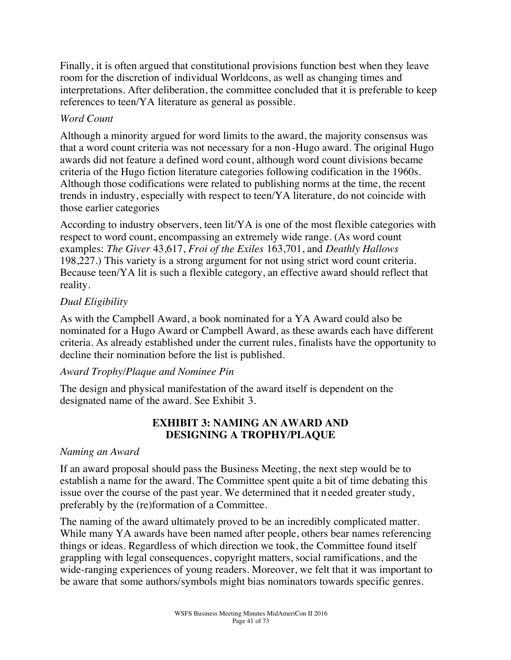Finally, it is often argued that constitutional provisions function best when they leave room for the discretion of individual Worldcons, as well as changing times and interpretations. After deliberation, the committee concluded that it is preferable to keep references to teen/YA literature as general as possible.

#### *Word Count*

Although a minority argued for word limits to the award, the majority consensus was that a word count criteria was not necessary for a non-Hugo award. The original Hugo awards did not feature a defined word count, although word count divisions became criteria of the Hugo fiction literature categories following codification in the 1960s. Although those codifications were related to publishing norms at the time, the recent trends in industry, especially with respect to teen/YA literature, do not coincide with those earlier categories

According to industry observers, teen lit/YA is one of the most flexible categories with respect to word count, encompassing an extremely wide range. (As word count examples: *The Giver* 43,617, *Froi of the Exiles* 163,701, and *Deathly Hallows* 198,227.) This variety is a strong argument for not using strict word count criteria. Because teen/YA lit is such a flexible category, an effective award should reflect that reality.

# *Dual Eligibility*

As with the Campbell Award, a book nominated for a YA Award could also be nominated for a Hugo Award or Campbell Award, as these awards each have different criteria. As already established under the current rules, finalists have the opportunity to decline their nomination before the list is published.

# *Award Trophy/Plaque and Nominee Pin*

The design and physical manifestation of the award itself is dependent on the designated name of the award. See Exhibit 3.

# **EXHIBIT 3: NAMING AN AWARD AND DESIGNING A TROPHY/PLAQUE**

#### *Naming an Award*

If an award proposal should pass the Business Meeting, the next step would be to establish a name for the award. The Committee spent quite a bit of time debating this issue over the course of the past year. We determined that it needed greater study, preferably by the (re)formation of a Committee.

The naming of the award ultimately proved to be an incredibly complicated matter. While many YA awards have been named after people, others bear names referencing things or ideas. Regardless of which direction we took, the Committee found itself grappling with legal consequences, copyright matters, social ramifications, and the wide-ranging experiences of young readers. Moreover, we felt that it was important to be aware that some authors/symbols might bias nominators towards specific genres.